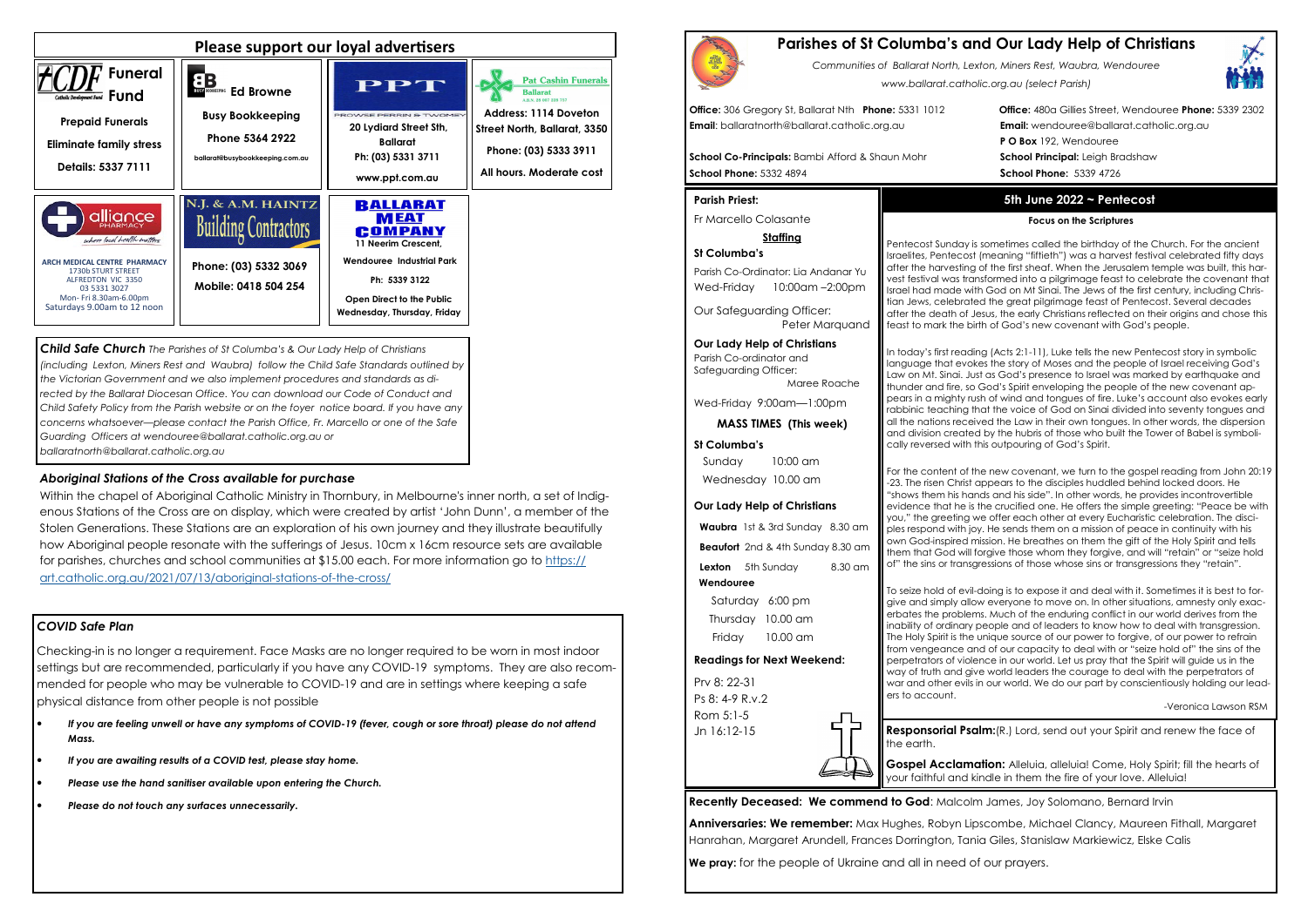# *COVID Safe Plan*

Checking-in is no longer a requirement. Face Masks are no longer required to be worn in most indoor settings but are recommended, particularly if you have any COVID-19 symptoms. They are also recommended for people who may be vulnerable to COVID-19 and are in settings where keeping a safe physical distance from other people is not possible

- *If you are feeling unwell or have any symptoms of COVID-19 (fever, cough or sore throat) please do not attend Mass.*
- *If you are awaiting results of a COVID test, please stay home.*
- *Please use the hand sanitiser available upon entering the Church.*
- *Please do not touch any surfaces unnecessarily.*





*Child Safe Church The Parishes of St Columba's & Our Lady Help of Christians (including Lexton, Miners Rest and Waubra) follow the Child Safe Standards outlined by the Victorian Government and we also implement procedures and standards as di*rected by the Ballarat Diocesan Office. You can download our Code of Conduct and *Child Safety Policy from the Parish website or on the foyer notice board. If you have any concerns whatsoever—please contact the Parish Office, Fr. Marcello or one of the Safe Guarding Officers at wendouree@ballarat.catholic.org.au or ballaratnorth@ballarat.catholic.org.au* 

Parish Co-Ordinator: Lia Andanar Yu Wed-Friday 10:00am -2:00pm

# *Aboriginal Stations of the Cross available for purchase*

 Within the chapel of Aboriginal Catholic Ministry in Thornbury, in Melbourne's inner north, a set of Indigenous Stations of the Cross are on display, which were created by artist 'John Dunn', a member of the Stolen Generations. These Stations are an exploration of his own journey and they illustrate beautifully how Aboriginal people resonate with the sufferings of Jesus. 10cm x 16cm resource sets are available for parishes, churches and school communities at \$15.00 each. For more information go to https://art.catholic.org.au/2021/07/13/aboriginal-stations-of-the-cross/

# **Parishes of St Columba's and Our Lady Help of Christians**

*Communities of Ballarat North, Lexton, Miners Rest, Waubra, Wendouree www.ballarat.catholic.org.au (select Parish)* 

**Office:** 306 Gregory St, Ballarat Nth **Phone:** 5331 1012 **Office:** 480a Gillies Street, Wendouree **Phone:** 5339 2302**P O Box** 192, Wendouree

**Email**: ballaratnorth@ballarat.catholic.org.au **Email:** wendouree@ballarat.catholic.org.au

**School Co-Principals:** Bambi Afford & Shaun Mohr **School Principal:** Leigh Bradshaw **School Phone:** 5332 4894 **School Phone:** 5339 4726

### **Parish Priest:**

Fr Marcello Colasante

### **Staffing**

### **St Columba's**

Our Safeguarding Officer: Peter Marquand

#### **Our Lady Help of Christians**

Parish Co-ordinator and Safeguarding Officer: Maree Roache

Wed-Friday 9:00am—1:00pm

**MASS TIMES (This week)**

### **St Columba's**

 Sunday 10:00 am Wednesday 10.00 am

#### **Our Lady Help of Christians**

**Waubra** 1st & 3rd Sunday 8.30 am

**Beaufort** 2nd & 4th Sunday 8.30 am

**Lexton** 5th Sunday 8.30 am

#### **Wendouree**

Saturday 6:00 pm Thursday 10.00 am Friday 10.00 am

> **Gospel Acclamation:** Alleluia, alleluia! Come, Holy Spirit; fill the hearts of your faithful and kindle in them the fire of your love. Alleluia!

### **Readings for Next Weekend:**

Prv 8: 22-31 Ps 8: 4-9 R.v.2 Rom 5:1-5 Jn 16:12-15

**Anniversaries: We remember:** Max Hughes, Robyn Lipscombe, Michael Clancy, Maureen Fithall, Margaret Hanrahan, Margaret Arundell, Frances Dorrington, Tania Giles, Stanislaw Markiewicz, Elske Calis

**We pray:** for the people of Ukraine and all in need of our prayers.



# **5th June 2022 ~ Pentecost**

### **Focus on the Scriptures**

Pentecost Sunday is sometimes called the birthday of the Church. For the ancient Israelites, Pentecost (meaning "fiftieth") was a harvest festival celebrated fifty days after the harvesting of the first sheaf. When the Jerusalem temple was built, this harvest festival was transformed into a pilgrimage feast to celebrate the covenant that Israel had made with God on Mt Sinai. The Jews of the first century, including Christian Jews, celebrated the great pilgrimage feast of Pentecost. Several decades after the death of Jesus, the early Christians reflected on their origins and chose this feast to mark the birth of God's new covenant with God's people.

In today's first reading (Acts 2:1-11), Luke tells the new Pentecost story in symbolic language that evokes the story of Moses and the people of Israel receiving God's Law on Mt. Sinai. Just as God's presence to Israel was marked by earthquake and thunder and fire, so God's Spirit enveloping the people of the new covenant appears in a mighty rush of wind and tongues of fire. Luke's account also evokes early rabbinic teaching that the voice of God on Sinai divided into seventy tongues and all the nations received the Law in their own tongues. In other words, the dispersion and division created by the hubris of those who built the Tower of Babel is symbolically reversed with this outpouring of God's Spirit.

For the content of the new covenant, we turn to the gospel reading from John 20:19-23. The risen Christ appears to the disciples huddled behind locked doors. He "shows them his hands and his side". In other words, he provides incontrovertible evidence that he is the crucified one. He offers the simple greeting: "Peace be with you," the greeting we offer each other at every Eucharistic celebration. The disciples respond with joy. He sends them on a mission of peace in continuity with his own God-inspired mission. He breathes on them the gift of the Holy Spirit and tells them that God will forgive those whom they forgive, and will "retain" or "seize hold of" the sins or transgressions of those whose sins or transgressions they "retain".

To seize hold of evil-doing is to expose it and deal with it. Sometimes it is best to forgive and simply allow everyone to move on. In other situations, amnesty only exacerbates the problems. Much of the enduring conflict in our world derives from the inability of ordinary people and of leaders to know how to deal with transgression. The Holy Spirit is the unique source of our power to forgive, of our power to refrain from vengeance and of our capacity to deal with or "seize hold of" the sins of the perpetrators of violence in our world. Let us pray that the Spirit will guide us in the way of truth and give world leaders the courage to deal with the perpetrators of war and other evils in our world. We do our part by conscientiously holding our lead-

ers to account.

-Veronica Lawson RSM

**Responsorial Psalm:**(R.) Lord, send out your Spirit and renew the face of

the earth.

**Recently Deceased: We commend to God: Malcolm James, Joy Solomano, Bernard Irvin**